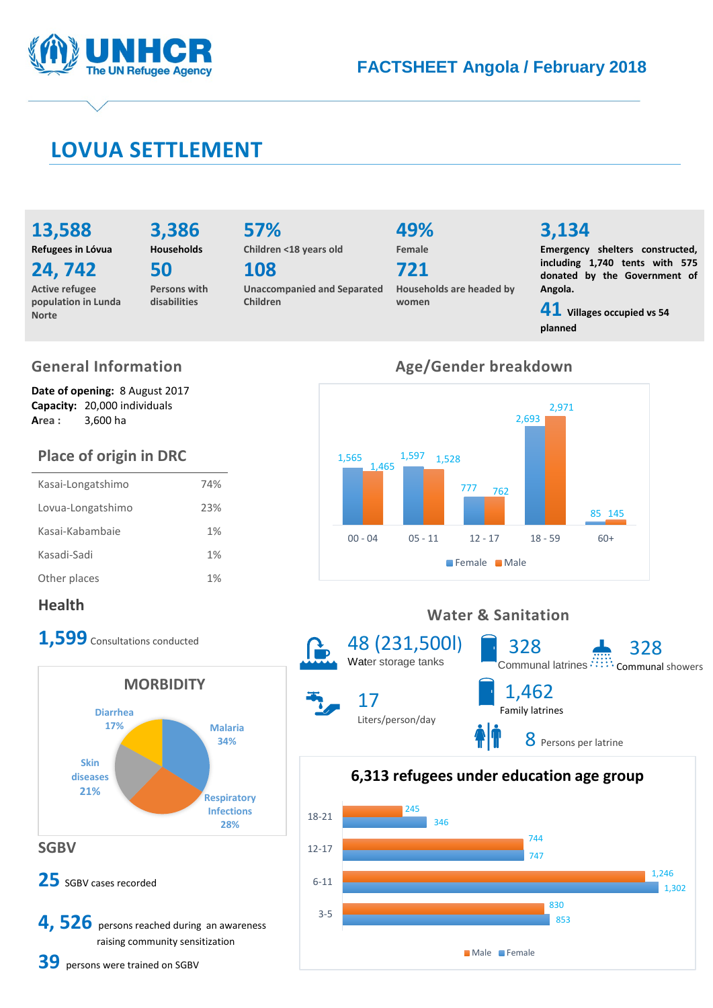

## **LOVUA SETTLEMENT**

**13,588 Refugees in Lóvua**

**3,386**

**24, 742**

**Active refugee population in Lunda Norte**

**Households 50**

**Persons with disabilities**

**57% Children <18 years old**

**108** 

**Unaccompanied and Separated Children**

# **49%**

**Female 721**

**Households are headed by women**

## **3,134**

**Emergency shelters constructed, including 1,740 tents with 575 donated by the Government of Angola.**

**41 Villages occupied vs 54 planned**

## **General Information**

**Date of opening:** 8 August 2017 **Capacity:** 20,000 individuals **Area :** 3,600 ha

## **Place of origin in DRC**

| Kasai-Longatshimo | 74% |
|-------------------|-----|
| Lovua-Longatshimo | 23% |
| Kasai-Kabambaie   | 1%  |
| Kasadi-Sadi       | 1%  |
| Other places      | 1%  |

## **Health**

1,599 Consultations conducted



## **Age/Gender breakdown**



### **Water & Sanitation**



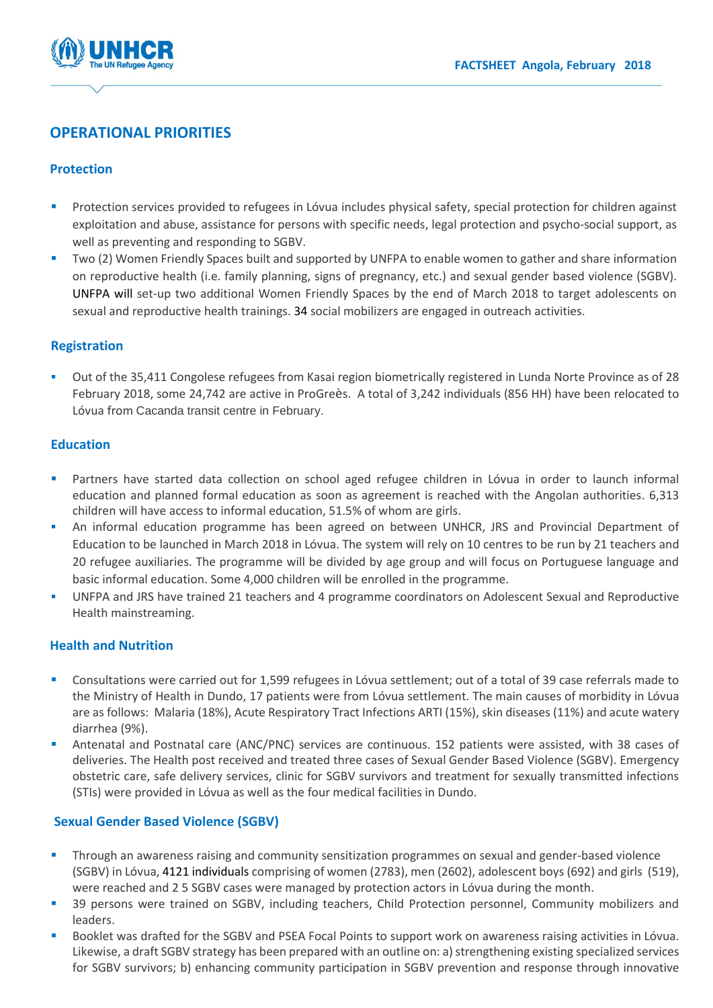

### **OPERATIONAL PRIORITIES**

#### **Protection**

- Protection services provided to refugees in Lóvua includes physical safety, special protection for children against exploitation and abuse, assistance for persons with specific needs, legal protection and psycho-social support, as well as preventing and responding to SGBV.
- Two (2) Women Friendly Spaces built and supported by UNFPA to enable women to gather and share information on reproductive health (i.e. family planning, signs of pregnancy, etc.) and sexual gender based violence (SGBV). UNFPA will set-up two additional Women Friendly Spaces by the end of March 2018 to target adolescents on sexual and reproductive health trainings. 34 social mobilizers are engaged in outreach activities.

#### **Registration**

 Out of the 35,411 Congolese refugees from Kasai region biometrically registered in Lunda Norte Province as of 28 February 2018, some 24,742 are active in ProGreès. A total of 3,242 individuals (856 HH) have been relocated to Lóvua from Cacanda transit centre in February.

#### **Education**

- Partners have started data collection on school aged refugee children in Lóvua in order to launch informal education and planned formal education as soon as agreement is reached with the Angolan authorities. 6,313 children will have access to informal education, 51.5% of whom are girls.
- An informal education programme has been agreed on between UNHCR, JRS and Provincial Department of Education to be launched in March 2018 in Lóvua. The system will rely on 10 centres to be run by 21 teachers and 20 refugee auxiliaries. The programme will be divided by age group and will focus on Portuguese language and basic informal education. Some 4,000 children will be enrolled in the programme.
- UNFPA and JRS have trained 21 teachers and 4 programme coordinators on Adolescent Sexual and Reproductive Health mainstreaming.

#### **Health and Nutrition**

- Consultations were carried out for 1,599 refugees in Lóvua settlement; out of a total of 39 case referrals made to the Ministry of Health in Dundo, 17 patients were from Lóvua settlement. The main causes of morbidity in Lóvua are as follows: Malaria (18%), Acute Respiratory Tract Infections ARTI (15%), skin diseases (11%) and acute watery diarrhea (9%).
- Antenatal and Postnatal care (ANC/PNC) services are continuous. 152 patients were assisted, with 38 cases of deliveries. The Health post received and treated three cases of Sexual Gender Based Violence (SGBV). Emergency obstetric care, safe delivery services, clinic for SGBV survivors and treatment for sexually transmitted infections (STIs) were provided in Lóvua as well as the four medical facilities in Dundo.

#### **Sexual Gender Based Violence (SGBV)**

- **Through an awareness raising and community sensitization programmes on sexual and gender-based violence** (SGBV) in Lóvua, 4121 individuals comprising of women (2783), men (2602), adolescent boys (692) and girls (519), were reached and 2 5 SGBV cases were managed by protection actors in Lóvua during the month.
- **39 persons were trained on SGBV, including teachers, Child Protection personnel, Community mobilizers and** leaders.
- Booklet was drafted for the SGBV and PSEA Focal Points to support work on awareness raising activities in Lóvua. Likewise, a draft SGBV strategy has been prepared with an outline on: a) strengthening existing specialized services for SGBV survivors; b) enhancing community participation in SGBV prevention and response through innovative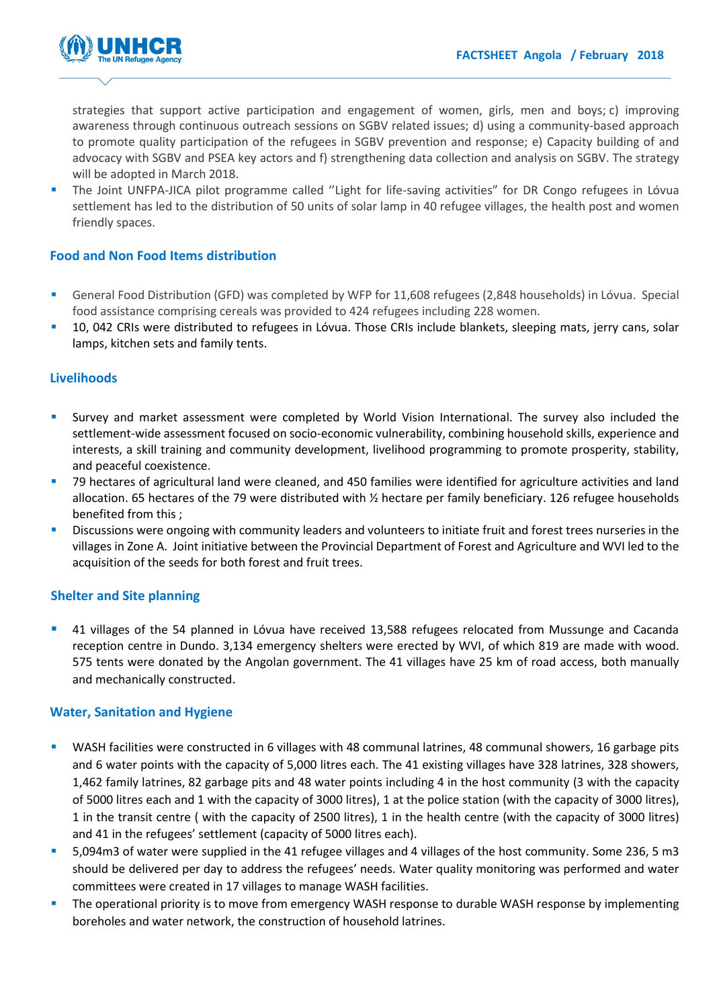

strategies that support active participation and engagement of women, girls, men and boys; c) improving awareness through continuous outreach sessions on SGBV related issues; d) using a community-based approach to promote quality participation of the refugees in SGBV prevention and response; e) Capacity building of and advocacy with SGBV and PSEA key actors and f) strengthening data collection and analysis on SGBV. The strategy will be adopted in March 2018.

 The Joint UNFPA-JICA pilot programme called ''Light for life-saving activities" for DR Congo refugees in Lóvua settlement has led to the distribution of 50 units of solar lamp in 40 refugee villages, the health post and women friendly spaces.

#### **Food and Non Food Items distribution**

- General Food Distribution (GFD) was completed by WFP for 11,608 refugees (2,848 households) in Lóvua. Special food assistance comprising cereals was provided to 424 refugees including 228 women.
- 10, 042 CRIs were distributed to refugees in Lóvua. Those CRIs include blankets, sleeping mats, jerry cans, solar lamps, kitchen sets and family tents.

#### **Livelihoods**

- Survey and market assessment were completed by World Vision International. The survey also included the settlement-wide assessment focused on socio-economic vulnerability, combining household skills, experience and interests, a skill training and community development, livelihood programming to promote prosperity, stability, and peaceful coexistence.
- 79 hectares of agricultural land were cleaned, and 450 families were identified for agriculture activities and land allocation. 65 hectares of the 79 were distributed with ½ hectare per family beneficiary. 126 refugee households benefited from this ;
- Discussions were ongoing with community leaders and volunteers to initiate fruit and forest trees nurseries in the villages in Zone A. Joint initiative between the Provincial Department of Forest and Agriculture and WVI led to the acquisition of the seeds for both forest and fruit trees.

#### **Shelter and Site planning**

 41 villages of the 54 planned in Lóvua have received 13,588 refugees relocated from Mussunge and Cacanda reception centre in Dundo. 3,134 emergency shelters were erected by WVI, of which 819 are made with wood. 575 tents were donated by the Angolan government. The 41 villages have 25 km of road access, both manually and mechanically constructed.

#### **Water, Sanitation and Hygiene**

- WASH facilities were constructed in 6 villages with 48 communal latrines, 48 communal showers, 16 garbage pits and 6 water points with the capacity of 5,000 litres each. The 41 existing villages have 328 latrines, 328 showers, 1,462 family latrines, 82 garbage pits and 48 water points including 4 in the host community (3 with the capacity of 5000 litres each and 1 with the capacity of 3000 litres), 1 at the police station (with the capacity of 3000 litres), 1 in the transit centre ( with the capacity of 2500 litres), 1 in the health centre (with the capacity of 3000 litres) and 41 in the refugees' settlement (capacity of 5000 litres each).
- 5,094m3 of water were supplied in the 41 refugee villages and 4 villages of the host community. Some 236, 5 m3 should be delivered per day to address the refugees' needs. Water quality monitoring was performed and water committees were created in 17 villages to manage WASH facilities.
- The operational priority is to move from emergency WASH response to durable WASH response by implementing boreholes and water network, the construction of household latrines.